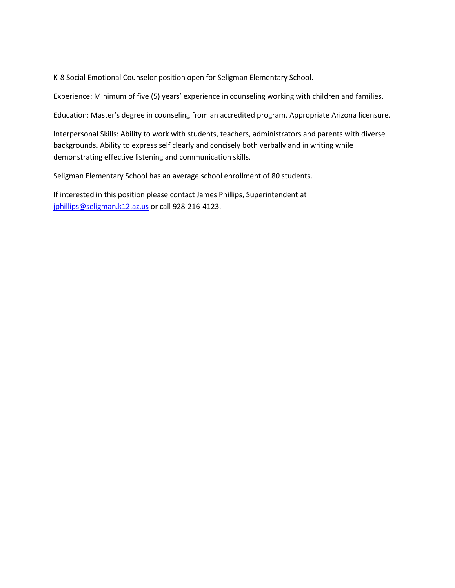K-8 Social Emotional Counselor position open for Seligman Elementary School.

Experience: Minimum of five (5) years' experience in counseling working with children and families.

Education: Master's degree in counseling from an accredited program. Appropriate Arizona licensure.

Interpersonal Skills: Ability to work with students, teachers, administrators and parents with diverse backgrounds. Ability to express self clearly and concisely both verbally and in writing while demonstrating effective listening and communication skills.

Seligman Elementary School has an average school enrollment of 80 students.

If interested in this position please contact James Phillips, Superintendent at [jphillips@seligman.k12.az.us](mailto:jphillips@seligman.k12.az.us) or call 928-216-4123.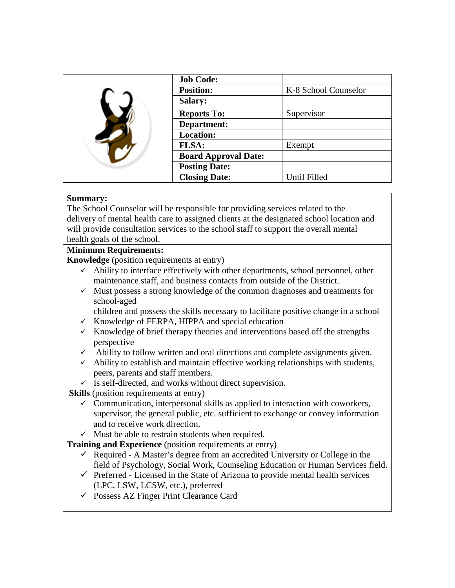|  | <b>Job Code:</b>            |                      |
|--|-----------------------------|----------------------|
|  | <b>Position:</b>            | K-8 School Counselor |
|  | <b>Salary:</b>              |                      |
|  | <b>Reports To:</b>          | Supervisor           |
|  | Department:                 |                      |
|  | <b>Location:</b>            |                      |
|  | <b>FLSA:</b>                | Exempt               |
|  | <b>Board Approval Date:</b> |                      |
|  | <b>Posting Date:</b>        |                      |
|  | <b>Closing Date:</b>        | Until Filled         |

## **Summary:**

The School Counselor will be responsible for providing services related to the delivery of mental health care to assigned clients at the designated school location and will provide consultation services to the school staff to support the overall mental health goals of the school.

#### **Minimum Requirements:**

**Knowledge** (position requirements at entry)

- $\checkmark$  Ability to interface effectively with other departments, school personnel, other maintenance staff, and business contacts from outside of the District.
- $\checkmark$  Must possess a strong knowledge of the common diagnoses and treatments for school-aged
	- children and possess the skills necessary to facilitate positive change in a school
- $\checkmark$  Knowledge of FERPA, HIPPA and special education
- $\checkmark$  Knowledge of brief therapy theories and interventions based off the strengths perspective
- Ability to follow written and oral directions and complete assignments given.
- $\checkmark$  Ability to establish and maintain effective working relationships with students, peers, parents and staff members.
- $\checkmark$  Is self-directed, and works without direct supervision.

**Skills** (position requirements at entry)

- $\checkmark$  Communication, interpersonal skills as applied to interaction with coworkers, supervisor, the general public, etc. sufficient to exchange or convey information and to receive work direction.
- $\checkmark$  Must be able to restrain students when required.

**Training and Experience** (position requirements at entry)

- $\checkmark$  Required A Master's degree from an accredited University or College in the field of Psychology, Social Work, Counseling Education or Human Services field.
- $\checkmark$  Preferred Licensed in the State of Arizona to provide mental health services (LPC, LSW, LCSW, etc.), preferred
- $\checkmark$  Possess AZ Finger Print Clearance Card